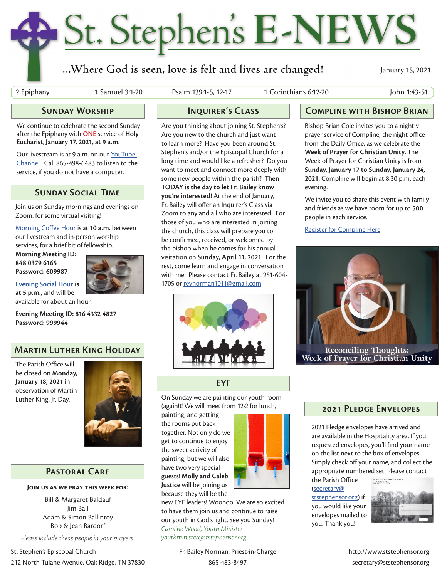## St. Stephen's E-NEWS

#### ...Where God is seen, love is felt and lives are changed!

January 15, 2021

2 Epiphany 1 Samuel 3:1-20 Psalm 139:1-5, 12-17 1 Corinthians 6:12-20 John 1:43-51

#### **Sunday Worship**

We continue to celebrate the second Sunday after the Epiphany with **ONE** service of **Holy Eucharist**, **January 17, 2021, at 9 a.m.** 

Our livestream is at 9 a.m. on our YouTube Channel. Call 865-498-6483 to listen to the service, if you do not have a computer.

#### **Sunday Social Time**

Join us on Sunday mornings and evenings on Zoom, for some virtual visiting!

Morning Coffee Hour is at **10 a.m.** between our livestream and in-person worship services, for a brief bit of fellowship.

**Morning Meeting ID: 848 0379 6165 Password: 609987**



**Evening Social Hour is at 5 p.m.,** and will be available for about an hour.

**Evening Meeting ID: 816 4332 4827 Password: 999944**

#### **Martin Luther King Holiday**

The Parish Office will be closed on **Monday, January 18, 2021** in observation of Martin Luther King, Jr. Day.



#### **Pastoral Care**

**Join us as we pray this week for:**

Bill & Margaret Baldauf Jim Ball Adam & Simon Ballintoy Bob & Jean Bardorf

*Please include these people in your prayers.*

Are you thinking about joining St. Stephen's? Are you new to the church and just want to learn more? Have you been around St. Stephen's and/or the Episcopal Church for a long time and would like a refresher? Do you want to meet and connect more deeply with some new people within the parish? **Then TODAY is the day to let Fr. Bailey know you're interested!** At the end of January, Fr. Bailey will offer an Inquirer's Class via Zoom to any and all who are interested. For those of you who are interested in joining the church, this class will prepare you to be confirmed, received, or welcomed by the bishop when he comes for his annual visitation on **Sunday, April 11, 2021**. For the rest, come learn and engage in conversation with me. Please contact Fr. Bailey at 251-604- 1705 or revnorman1011@gmail.com.



#### **EYF**

On Sunday we are painting our youth room (again!)! We will meet from 12-2 for lunch,

painting, and getting the rooms put back together. Not only do we get to continue to enjoy the sweet activity of painting, but we will also have two very special guests! **Molly and Caleb Justice** will be joining us because they will be the



new EYF leaders! Woohoo! We are so excited to have them join us and continue to raise our youth in God's light. See you Sunday! *Caroline Wood, Youth Minister youthminister@ststephensor.org*

#### **Inquirer's Class Compline with Bishop Brian**

Bishop Brian Cole invites you to a nightly prayer service of Compline, the night office from the Daily Office, as we celebrate the **Week of Prayer for Christian Unity.** The Week of Prayer for Christian Unity is from **Sunday, January 17 to Sunday, January 24, 2021.** Compline will begin at 8:30 p.m. each evening.

We invite you to share this event with family and friends as we have room for up to **500** people in each service.

Register for Compline Here



#### **2021 Pledge Envelopes**

2021 Pledge envelopes have arrived and are available in the Hospitality area. If you requested envelopes, you'll find your name on the list next to the box of envelopes. Simply check off your name, and collect the appropriate numbered set. Please contact the Parish Office

(secretary@

ststephensor.org) if you would like your envelopes mailed to you. Thank you!